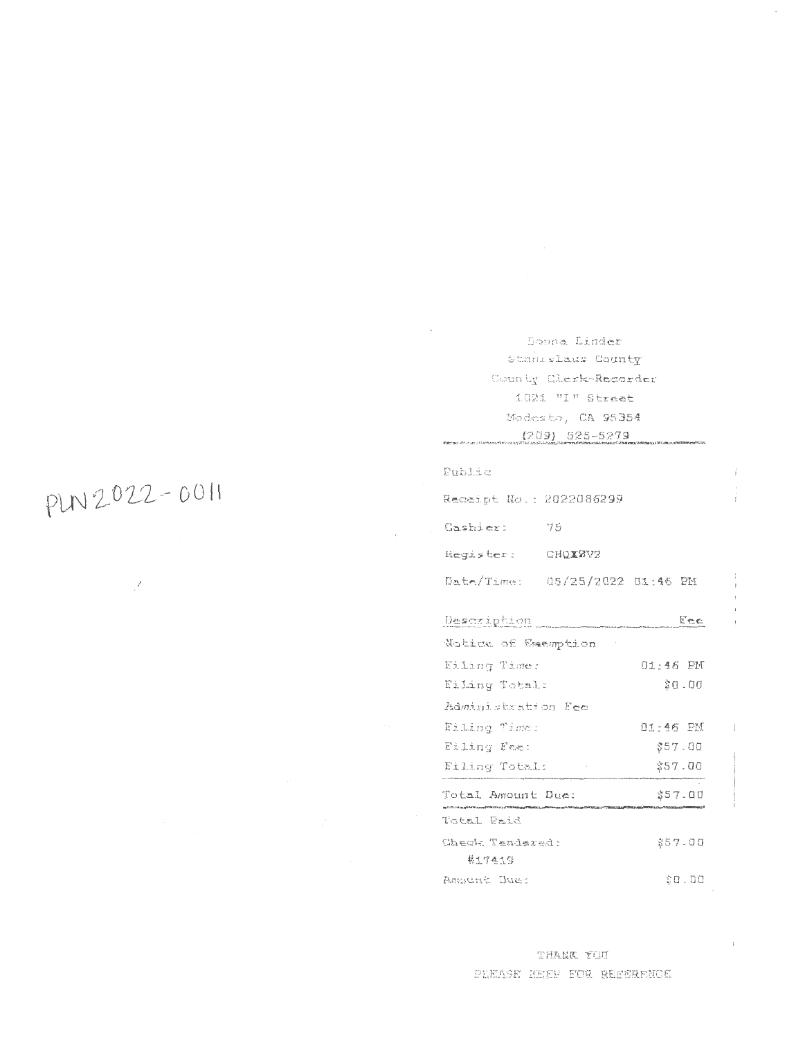Doona Linder Stanlslaus County County Clerk-Recorder 1021 "I" Street Modesto, CA 95354  $(209) 525 - 5279$ 

| Public                         |    |          |  |  |  |
|--------------------------------|----|----------|--|--|--|
| Receipt No.: 2022086299        |    |          |  |  |  |
| Cashier:                       | 75 |          |  |  |  |
| Reqister: CHQXZV2              |    |          |  |  |  |
| Date/Time: 05/25/2022 01:46 PM |    |          |  |  |  |
| Description                    |    | Fee      |  |  |  |
| Notice of Examption            |    |          |  |  |  |
| Filing Time:                   |    | 01:46 PM |  |  |  |
| Eiling Total:                  |    | 00.03    |  |  |  |
| Administration Fee             |    |          |  |  |  |
| Filing Time:                   |    | 01:46 PM |  |  |  |
| Eiling Fee:                    |    | \$57.00  |  |  |  |
| Filing Total:                  |    | \$57.00  |  |  |  |
| Total Amount Due:              |    | \$57.00  |  |  |  |
| Total Paid                     |    |          |  |  |  |
| Check Tendered:                |    | \$57.00  |  |  |  |
| 井生7419                         |    |          |  |  |  |
| Ampunt Due:                    |    | \$0.00   |  |  |  |

# PLN 2022-0011

 $\mathcal{E}$ 

THANK YOU PLEASE KEEP FOR REFERENCE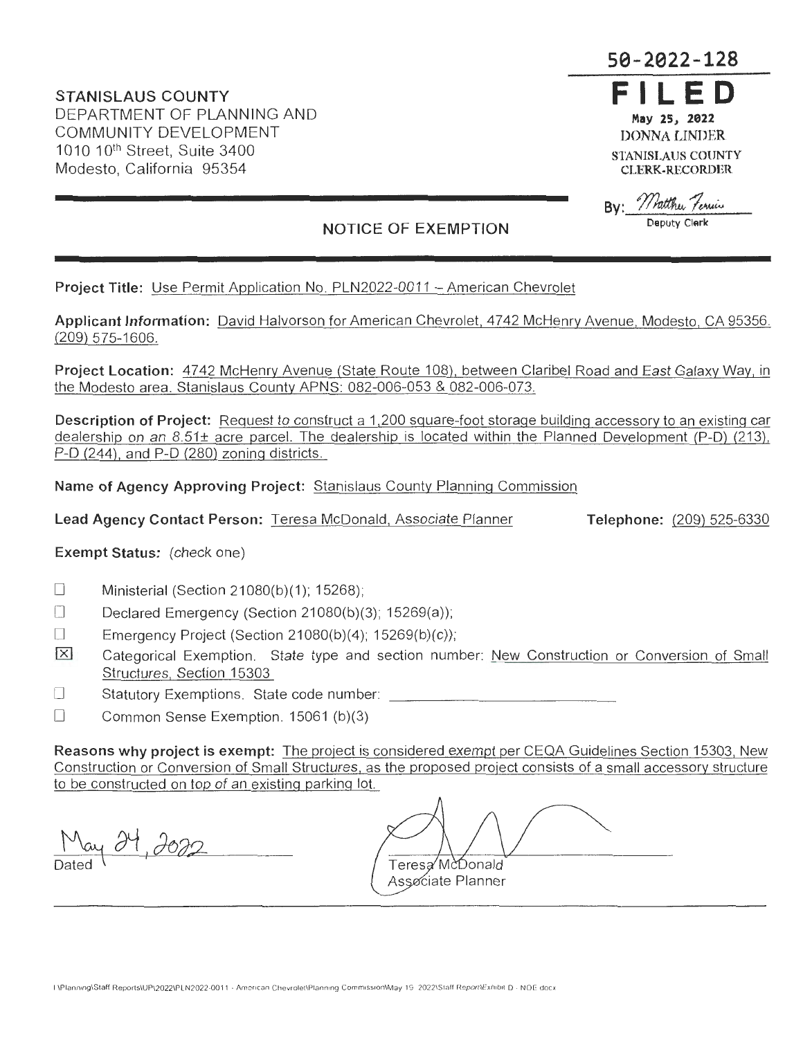**STANISLAUS COUNTY**  DEPARTMENT OF PLANNING AND COMMUNITY DEVELOPMENT 1010 10<sup>th</sup> Street, Suite 3400 Modesto, California 95354

# **50-2022-128**

**FILED May 25, 2022 DONNA LINDER STANISLAUS COUNTY CLERK-RECORDER** 

Pratthu Ferriis **Deputy Clerk** 

## **NOTICE OF EXEMPTION**

**Project Title:** Use Permit Application No. PLN2022-0011 - American Chevrolet

**Applicant Information:** David Halvorson for American Chevrolet, 4742 McHenry Avenue, Modesto, CA 95356. (209) 575-1606.

**Project Location:** 4742 McHenry Avenue (State Route 108), between Claribel Road and East Galaxy Way, in the Modesto area. Stanislaus County APNS: 082-006-053 & 082-006-073.

**Description of Project:** Request to construct a 1,200 square-foot storage building accessory to an existing car dealership on an 8.51± acre parcel. The dealership is located within the Planned Development (P-D) (213), P-D (244), and P-D (280) zoning districts.

**Name of Agency Approving Project:** Stanislaus County Planning Commission

**Lead Agency Contact Person:** Teresa McDonald, Associate Planner

**Telephone:** (209) 525-6330

### **Exempt Status:** (check one)

- Ministerial (Section 21080(b)(1); 15268);  $\Box$
- Declared Emergency (Section 21080(b)(3); 15269(a));  $\Box$
- Emergency Project (Section 21080(b)(4); 15269(b)(c));  $\Box$
- **EXI** Categorical Exemption. State type and section number: New Construction or Conversion of Small Structures, Section 15303
- $\Box$ Statutory Exemptions. State code number:
- $\Box$ Common Sense Exemption. 15061 (b)(3)

**Reasons why project is exempt:** The project is considered exempt per CEQA Guidelines Section 15303, New Construction or Conversion of Small Structures, as the proposed project consists of a small accessory structure to be constructed on top of an existing parking lot.

May 24, 2022

Teresa McDonald Associate Planner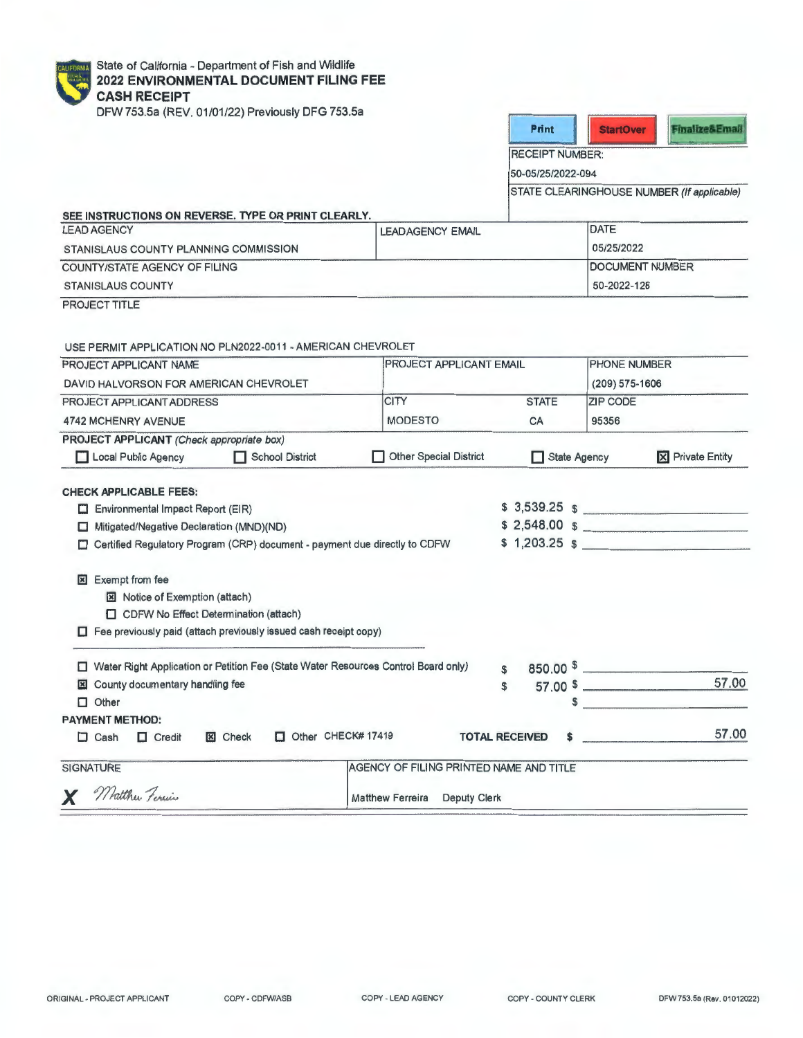| <b>CALIFORNIA</b> | <b>Stat</b> |
|-------------------|-------------|
|                   | 202         |
|                   | CA.         |
|                   | nev         |

te of California - Department of Fish and Wildlife **2022 ENVIRONMENTAL DOCUMENT FILING FEE SH RECEIPT** 

DFW 753.5a (REV. 01/01/22) Previously DFG 753.5a

| <b>Print</b> |  |
|--------------|--|
|              |  |

RECEIPT NUMBER:

50-05/25/2022-094

STATE CLEARINGHOUSE NUMBER (If applicable)

| SEE INSTRUCTIONS ON REVERSE. TYPE OR PRINT CLEARLY.<br><b>LEAD AGENCY</b> | <b>LEADAGENCY EMAIL</b> | <b>DATE</b>            |  |
|---------------------------------------------------------------------------|-------------------------|------------------------|--|
| STANISLAUS COUNTY PLANNING COMMISSION                                     |                         | 05/25/2022             |  |
| COUNTY/STATE AGENCY OF FILING                                             |                         | <b>DOCUMENT NUMBER</b> |  |
| <b>STANISLAUS COUNTY</b>                                                  | 50-2022-128             |                        |  |

PROJECT TITLE

USE PERMIT APPLICATION NO PLN2022-0011 -AMERICAN CHEVROLET

| PROJECT APPLICANT NAME<br>DAVID HALVORSON FOR AMERICAN CHEVROLET                |                                                                                    |                                         | <b>PROJECT APPLICANT EMAIL</b> |                 | <b>PHONE NUMBER</b>                    |  |
|---------------------------------------------------------------------------------|------------------------------------------------------------------------------------|-----------------------------------------|--------------------------------|-----------------|----------------------------------------|--|
|                                                                                 |                                                                                    |                                         |                                | (209) 575-1606  |                                        |  |
| PROJECT APPLICANT ADDRESS                                                       |                                                                                    | <b>CITY</b>                             | <b>STATE</b>                   | <b>ZIP CODE</b> |                                        |  |
| <b>4742 MCHENRY AVENUE</b>                                                      |                                                                                    | <b>MODESTO</b>                          | CA                             | 95356           |                                        |  |
| PROJECT APPLICANT (Check appropriate box)                                       |                                                                                    |                                         |                                |                 |                                        |  |
| Local Public Agency                                                             | School District                                                                    | Other Special District                  | <b>State Agency</b>            |                 | <b>X</b> Private Entity                |  |
| <b>CHECK APPLICABLE FEES:</b>                                                   |                                                                                    |                                         |                                |                 |                                        |  |
| Environmental Impact Report (EIR)                                               |                                                                                    |                                         |                                |                 | $$3,539.25$ \$                         |  |
| Mitigated/Negative Declaration (MND)(ND)<br>□                                   |                                                                                    |                                         |                                |                 | \$2,548.00\$                           |  |
| Certified Regulatory Program (CRP) document - payment due directly to CDFW<br>□ |                                                                                    |                                         |                                |                 | $$1,203.25$ $$$                        |  |
|                                                                                 |                                                                                    |                                         |                                |                 |                                        |  |
| <b>Exempt from fee</b><br>図                                                     |                                                                                    |                                         |                                |                 |                                        |  |
| <b>E</b> Notice of Exemption (attach)                                           |                                                                                    |                                         |                                |                 |                                        |  |
| CDFW No Effect Determination (attach)                                           |                                                                                    |                                         |                                |                 |                                        |  |
|                                                                                 | $\Box$ Fee previously paid (attach previously issued cash receipt copy)            |                                         |                                |                 |                                        |  |
| п                                                                               | Water Right Application or Petition Fee (State Water Resources Control Board only) |                                         | \$.                            |                 | $850.00$ $\frac{1}{2}$                 |  |
| <b>El</b> County documentary handling fee                                       |                                                                                    |                                         | £                              |                 | 57.00<br>$57.00$ \$                    |  |
| $\Box$ Other                                                                    |                                                                                    |                                         | \$                             |                 | the control of the control of the con- |  |
| <b>PAYMENT METHOD:</b>                                                          |                                                                                    |                                         |                                |                 |                                        |  |
| $\Box$ Cash<br>$\Box$ Credit                                                    | $\Box$ Other CHECK# 17419<br><b>x</b> Check                                        |                                         | <b>TOTAL RECEIVED</b><br>\$    |                 | 57.00                                  |  |
| <b>SIGNATURE</b>                                                                |                                                                                    | AGENCY OF FILING PRINTED NAME AND TITLE |                                |                 |                                        |  |
| X Matthew Ferries                                                               |                                                                                    | Matthew Ferreira Deputy Clerk           |                                |                 |                                        |  |